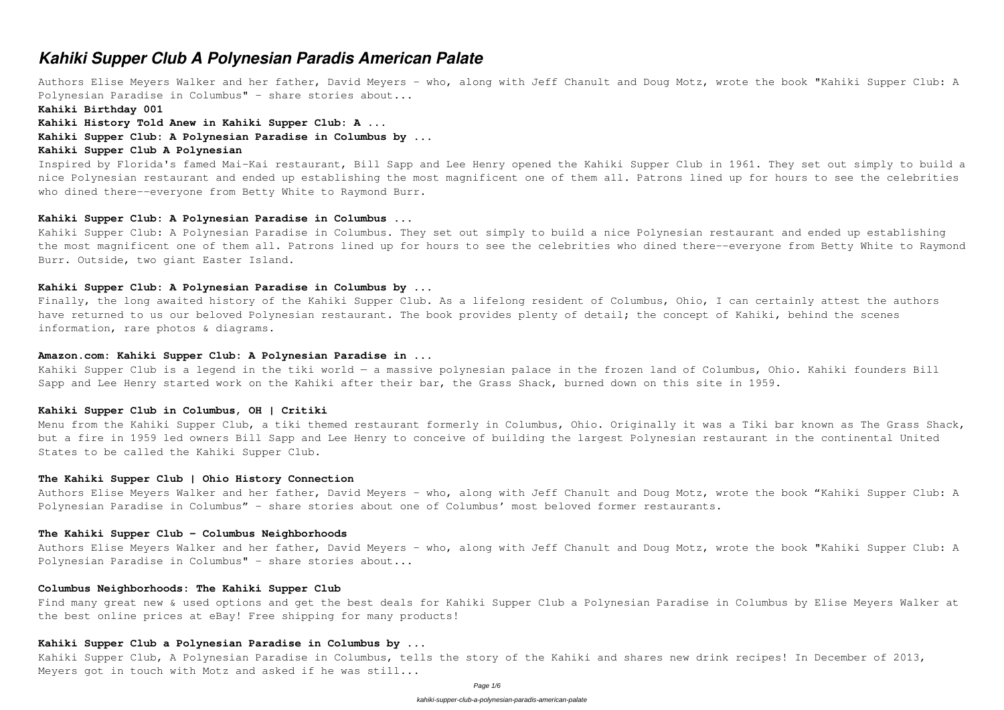# *Kahiki Supper Club A Polynesian Paradis American Palate*

Authors Elise Meyers Walker and her father, David Meyers – who, along with Jeff Chanult and Doug Motz, wrote the book "Kahiki Supper Club: A Polynesian Paradise in Columbus" – share stories about...

Inspired by Florida's famed Mai-Kai restaurant, Bill Sapp and Lee Henry opened the Kahiki Supper Club in 1961. They set out simply to build a nice Polynesian restaurant and ended up establishing the most magnificent one of them all. Patrons lined up for hours to see the celebrities who dined there--everyone from Betty White to Raymond Burr.

**Kahiki Birthday 001**

**Kahiki History Told Anew in Kahiki Supper Club: A ...**

# **Kahiki Supper Club: A Polynesian Paradise in Columbus by ...**

## **Kahiki Supper Club A Polynesian**

## **Kahiki Supper Club: A Polynesian Paradise in Columbus ...**

Kahiki Supper Club: A Polynesian Paradise in Columbus. They set out simply to build a nice Polynesian restaurant and ended up establishing the most magnificent one of them all. Patrons lined up for hours to see the celebrities who dined there--everyone from Betty White to Raymond Burr. Outside, two giant Easter Island.

# **Kahiki Supper Club: A Polynesian Paradise in Columbus by ...**

Finally, the long awaited history of the Kahiki Supper Club. As a lifelong resident of Columbus, Ohio, I can certainly attest the authors have returned to us our beloved Polynesian restaurant. The book provides plenty of detail; the concept of Kahiki, behind the scenes information, rare photos & diagrams.

# **Amazon.com: Kahiki Supper Club: A Polynesian Paradise in ...**

Kahiki Supper Club is a legend in the tiki world — a massive polynesian palace in the frozen land of Columbus, Ohio. Kahiki founders Bill Sapp and Lee Henry started work on the Kahiki after their bar, the Grass Shack, burned down on this site in 1959.

# **Kahiki Supper Club in Columbus, OH | Critiki**

Menu from the Kahiki Supper Club, a tiki themed restaurant formerly in Columbus, Ohio. Originally it was a Tiki bar known as The Grass Shack, but a fire in 1959 led owners Bill Sapp and Lee Henry to conceive of building the largest Polynesian restaurant in the continental United States to be called the Kahiki Supper Club.

# **The Kahiki Supper Club | Ohio History Connection**

Authors Elise Meyers Walker and her father, David Meyers – who, along with Jeff Chanult and Doug Motz, wrote the book "Kahiki Supper Club: A Polynesian Paradise in Columbus" – share stories about one of Columbus' most beloved former restaurants.

## **The Kahiki Supper Club - Columbus Neighborhoods**

Authors Elise Meyers Walker and her father, David Meyers – who, along with Jeff Chanult and Doug Motz, wrote the book "Kahiki Supper Club: A Polynesian Paradise in Columbus" – share stories about...

### **Columbus Neighborhoods: The Kahiki Supper Club**

Find many great new & used options and get the best deals for Kahiki Supper Club a Polynesian Paradise in Columbus by Elise Meyers Walker at the best online prices at eBay! Free shipping for many products!

# **Kahiki Supper Club a Polynesian Paradise in Columbus by ...**

Kahiki Supper Club, A Polynesian Paradise in Columbus, tells the story of the Kahiki and shares new drink recipes! In December of 2013, Meyers got in touch with Motz and asked if he was still...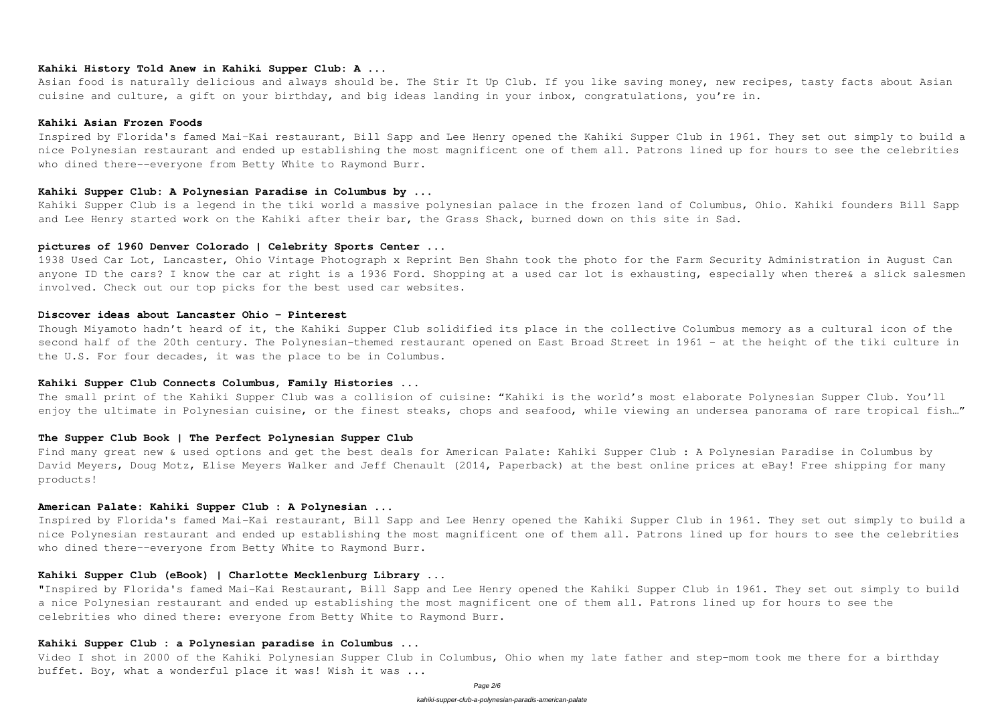# **Kahiki History Told Anew in Kahiki Supper Club: A ...**

Asian food is naturally delicious and always should be. The Stir It Up Club. If you like saving money, new recipes, tasty facts about Asian cuisine and culture, a gift on your birthday, and big ideas landing in your inbox, congratulations, you're in.

### **Kahiki Asian Frozen Foods**

Inspired by Florida's famed Mai-Kai restaurant, Bill Sapp and Lee Henry opened the Kahiki Supper Club in 1961. They set out simply to build a nice Polynesian restaurant and ended up establishing the most magnificent one of them all. Patrons lined up for hours to see the celebrities who dined there--everyone from Betty White to Raymond Burr.

## **Kahiki Supper Club: A Polynesian Paradise in Columbus by ...**

Kahiki Supper Club is a legend in the tiki world a massive polynesian palace in the frozen land of Columbus, Ohio. Kahiki founders Bill Sapp and Lee Henry started work on the Kahiki after their bar, the Grass Shack, burned down on this site in Sad.

The small print of the Kahiki Supper Club was a collision of cuisine: "Kahiki is the world's most elaborate Polynesian Supper Club. You'll enjoy the ultimate in Polynesian cuisine, or the finest steaks, chops and seafood, while viewing an undersea panorama of rare tropical fish..."

# **pictures of 1960 Denver Colorado | Celebrity Sports Center ...**

1938 Used Car Lot, Lancaster, Ohio Vintage Photograph x Reprint Ben Shahn took the photo for the Farm Security Administration in August Can anyone ID the cars? I know the car at right is a 1936 Ford. Shopping at a used car lot is exhausting, especially when there& a slick salesmen involved. Check out our top picks for the best used car websites.

Find many great new & used options and get the best deals for American Palate: Kahiki Supper Club : A Polynesian Paradise in Columbus by David Meyers, Doug Motz, Elise Meyers Walker and Jeff Chenault (2014, Paperback) at the best online prices at eBay! Free shipping for many products!

Inspired by Florida's famed Mai-Kai restaurant, Bill Sapp and Lee Henry opened the Kahiki Supper Club in 1961. They set out simply to build a nice Polynesian restaurant and ended up establishing the most magnificent one of them all. Patrons lined up for hours to see the celebrities who dined there--everyone from Betty White to Raymond Burr.

### **Discover ideas about Lancaster Ohio - Pinterest**

Though Miyamoto hadn't heard of it, the Kahiki Supper Club solidified its place in the collective Columbus memory as a cultural icon of the second half of the 20th century. The Polynesian-themed restaurant opened on East Broad Street in 1961 – at the height of the tiki culture in the U.S. For four decades, it was the place to be in Columbus.

# **Kahiki Supper Club Connects Columbus, Family Histories ...**

# **The Supper Club Book | The Perfect Polynesian Supper Club**

### **American Palate: Kahiki Supper Club : A Polynesian ...**

# **Kahiki Supper Club (eBook) | Charlotte Mecklenburg Library ...**

"Inspired by Florida's famed Mai-Kai Restaurant, Bill Sapp and Lee Henry opened the Kahiki Supper Club in 1961. They set out simply to build a nice Polynesian restaurant and ended up establishing the most magnificent one of them all. Patrons lined up for hours to see the celebrities who dined there: everyone from Betty White to Raymond Burr.

### **Kahiki Supper Club : a Polynesian paradise in Columbus ...**

Video I shot in 2000 of the Kahiki Polynesian Supper Club in Columbus, Ohio when my late father and step-mom took me there for a birthday buffet. Boy, what a wonderful place it was! Wish it was ...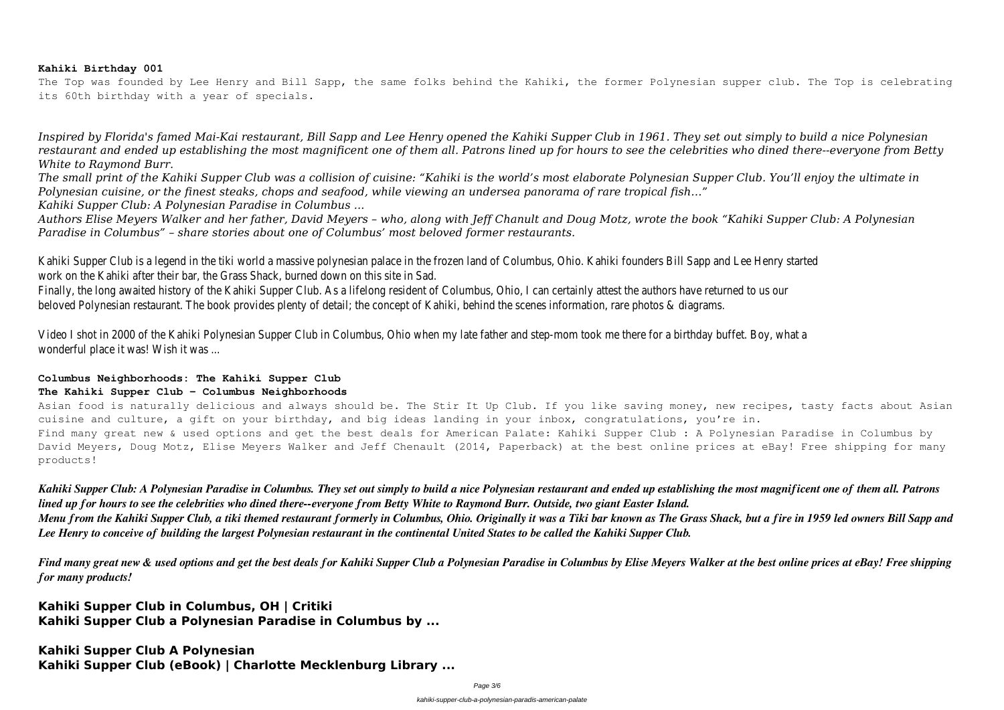# **Kahiki Birthday 001**

The Top was founded by Lee Henry and Bill Sapp, the same folks behind the Kahiki, the former Polynesian supper club. The Top is celebrating its 60th birthday with a year of specials.

*Inspired by Florida's famed Mai-Kai restaurant, Bill Sapp and Lee Henry opened the Kahiki Supper Club in 1961. They set out simply to build a nice Polynesian restaurant and ended up establishing the most magnificent one of them all. Patrons lined up for hours to see the celebrities who dined there--everyone from Betty White to Raymond Burr.*

*The small print of the Kahiki Supper Club was a collision of cuisine: "Kahiki is the world's most elaborate Polynesian Supper Club. You'll enjoy the ultimate in Polynesian cuisine, or the finest steaks, chops and seafood, while viewing an undersea panorama of rare tropical fish…" Kahiki Supper Club: A Polynesian Paradise in Columbus ...*

Video I shot in 2000 of the Kahiki Polynesian Supper Club in Columbus, Ohio when my late father and step-mom took me there for a b wonderful place it was! Wish it was ...

*Authors Elise Meyers Walker and her father, David Meyers – who, along with Jeff Chanult and Doug Motz, wrote the book "Kahiki Supper Club: A Polynesian Paradise in Columbus" – share stories about one of Columbus' most beloved former restaurants.*

Kahiki Supper Club is a legend in the tiki world a massive polynesian palace in the frozen land of Columbus, Ohio. Kahiki founders Bill Sa work on the Kahiki after their bar, the Grass Shack, burned down on this site in Sa

Finally, the long awaited history of the Kahiki Supper Club. As a lifelong resident of Columbus, Ohio, I can certainly attest the authors have returned to us our to us our to us our to us our to us our returns. beloved Polynesian restaurant. The book provides plenty of detail; the concept of Kahiki, behind the scenes information, rare photos &

Asian food is naturally delicious and always should be. The Stir It Up Club. If you like saving money, new recipes, tasty facts about Asian cuisine and culture, a gift on your birthday, and big ideas landing in your inbox, congratulations, you're in. Find many great new & used options and get the best deals for American Palate: Kahiki Supper Club : A Polynesian Paradise in Columbus by David Meyers, Doug Motz, Elise Meyers Walker and Jeff Chenault (2014, Paperback) at the best online prices at eBay! Free shipping for many products!

# **Columbus Neighborhoods: The Kahiki Supper Club The Kahiki Supper Club - Columbus Neighborhoods**

*Kahiki Supper Club: A Polynesian Paradise in Columbus. They set out simply to build a nice Polynesian restaurant and ended up establishing the most magnificent one of them all. Patrons lined up for hours to see the celebrities who dined there--everyone from Betty White to Raymond Burr. Outside, two giant Easter Island. Menu from the Kahiki Supper Club, a tiki themed restaurant formerly in Columbus, Ohio. Originally it was a Tiki bar known as The Grass Shack, but a fire in 1959 led owners Bill Sapp and Lee Henry to conceive of building the largest Polynesian restaurant in the continental United States to be called the Kahiki Supper Club.*

*Find many great new & used options and get the best deals for Kahiki Supper Club a Polynesian Paradise in Columbus by Elise Meyers Walker at the best online prices at eBay! Free shipping for many products!*

**Kahiki Supper Club in Columbus, OH | Critiki Kahiki Supper Club a Polynesian Paradise in Columbus by ...**

**Kahiki Supper Club A Polynesian Kahiki Supper Club (eBook) | Charlotte Mecklenburg Library ...**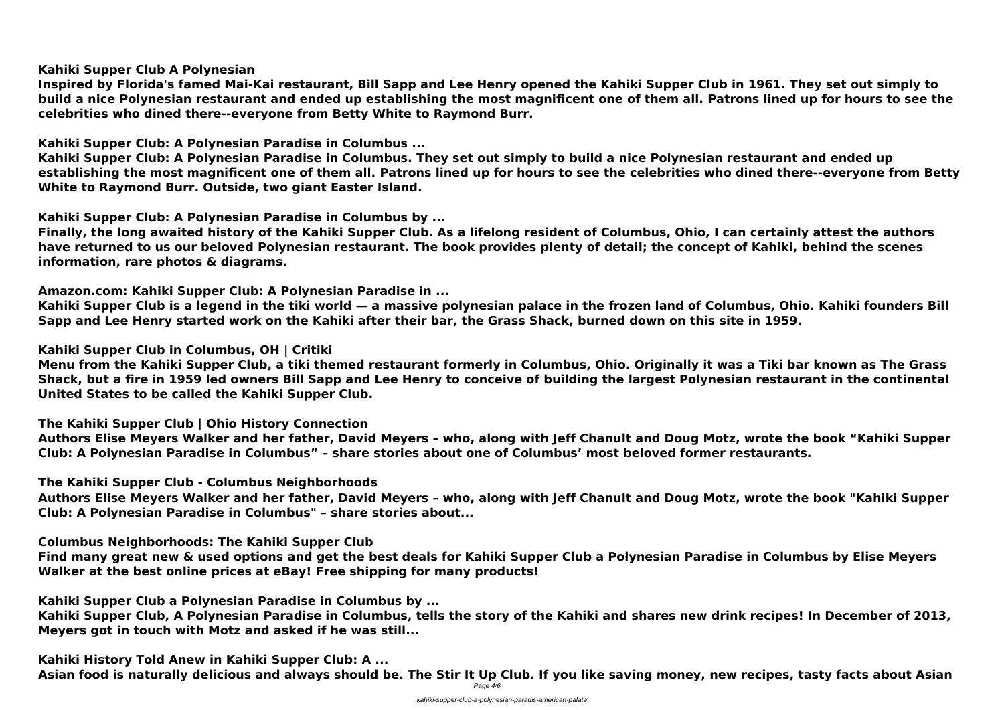**Kahiki Supper Club A Polynesian**

**Inspired by Florida's famed Mai-Kai restaurant, Bill Sapp and Lee Henry opened the Kahiki Supper Club in 1961. They set out simply to build a nice Polynesian restaurant and ended up establishing the most magnificent one of them all. Patrons lined up for hours to see the celebrities who dined there--everyone from Betty White to Raymond Burr.**

**Kahiki Supper Club: A Polynesian Paradise in Columbus ...**

**Kahiki Supper Club: A Polynesian Paradise in Columbus. They set out simply to build a nice Polynesian restaurant and ended up establishing the most magnificent one of them all. Patrons lined up for hours to see the celebrities who dined there--everyone from Betty White to Raymond Burr. Outside, two giant Easter Island.**

**Kahiki Supper Club: A Polynesian Paradise in Columbus by ...**

**Finally, the long awaited history of the Kahiki Supper Club. As a lifelong resident of Columbus, Ohio, I can certainly attest the authors have returned to us our beloved Polynesian restaurant. The book provides plenty of detail; the concept of Kahiki, behind the scenes information, rare photos & diagrams.**

**Amazon.com: Kahiki Supper Club: A Polynesian Paradise in ...**

**Kahiki Supper Club is a legend in the tiki world — a massive polynesian palace in the frozen land of Columbus, Ohio. Kahiki founders Bill Sapp and Lee Henry started work on the Kahiki after their bar, the Grass Shack, burned down on this site in 1959.**

**Kahiki Supper Club in Columbus, OH | Critiki**

**Menu from the Kahiki Supper Club, a tiki themed restaurant formerly in Columbus, Ohio. Originally it was a Tiki bar known as The Grass Shack, but a fire in 1959 led owners Bill Sapp and Lee Henry to conceive of building the largest Polynesian restaurant in the continental United States to be called the Kahiki Supper Club.**

**The Kahiki Supper Club | Ohio History Connection**

**Authors Elise Meyers Walker and her father, David Meyers – who, along with Jeff Chanult and Doug Motz, wrote the book "Kahiki Supper Club: A Polynesian Paradise in Columbus" – share stories about one of Columbus' most beloved former restaurants.**

**The Kahiki Supper Club - Columbus Neighborhoods**

**Authors Elise Meyers Walker and her father, David Meyers – who, along with Jeff Chanult and Doug Motz, wrote the book "Kahiki Supper Club: A Polynesian Paradise in Columbus" – share stories about...**

**Columbus Neighborhoods: The Kahiki Supper Club**

**Find many great new & used options and get the best deals for Kahiki Supper Club a Polynesian Paradise in Columbus by Elise Meyers Walker at the best online prices at eBay! Free shipping for many products!**

**Kahiki Supper Club a Polynesian Paradise in Columbus by ...**

**Kahiki Supper Club, A Polynesian Paradise in Columbus, tells the story of the Kahiki and shares new drink recipes! In December of 2013, Meyers got in touch with Motz and asked if he was still...**

**Kahiki History Told Anew in Kahiki Supper Club: A ... Asian food is naturally delicious and always should be. The Stir It Up Club. If you like saving money, new recipes, tasty facts about Asian** Page 4/6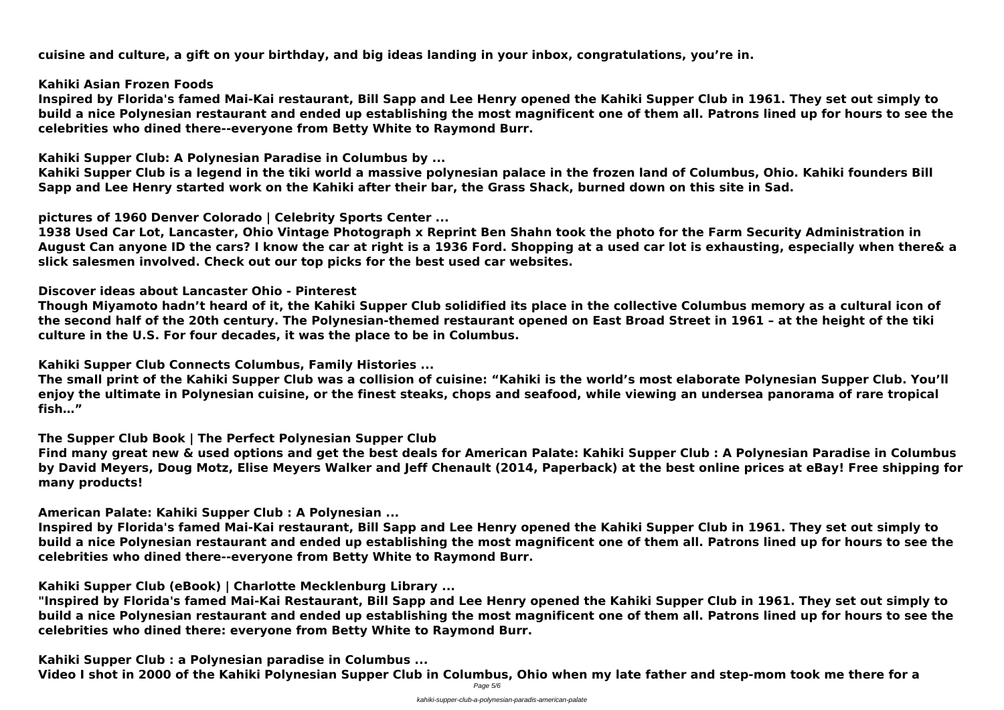**cuisine and culture, a gift on your birthday, and big ideas landing in your inbox, congratulations, you're in.**

**Kahiki Asian Frozen Foods**

**Inspired by Florida's famed Mai-Kai restaurant, Bill Sapp and Lee Henry opened the Kahiki Supper Club in 1961. They set out simply to build a nice Polynesian restaurant and ended up establishing the most magnificent one of them all. Patrons lined up for hours to see the celebrities who dined there--everyone from Betty White to Raymond Burr.**

**Kahiki Supper Club: A Polynesian Paradise in Columbus by ...**

**Kahiki Supper Club is a legend in the tiki world a massive polynesian palace in the frozen land of Columbus, Ohio. Kahiki founders Bill Sapp and Lee Henry started work on the Kahiki after their bar, the Grass Shack, burned down on this site in Sad.**

**pictures of 1960 Denver Colorado | Celebrity Sports Center ...**

**1938 Used Car Lot, Lancaster, Ohio Vintage Photograph x Reprint Ben Shahn took the photo for the Farm Security Administration in August Can anyone ID the cars? I know the car at right is a 1936 Ford. Shopping at a used car lot is exhausting, especially when there& a slick salesmen involved. Check out our top picks for the best used car websites.**

**Discover ideas about Lancaster Ohio - Pinterest**

**Though Miyamoto hadn't heard of it, the Kahiki Supper Club solidified its place in the collective Columbus memory as a cultural icon of the second half of the 20th century. The Polynesian-themed restaurant opened on East Broad Street in 1961 – at the height of the tiki culture in the U.S. For four decades, it was the place to be in Columbus.**

**Video I shot in 2000 of the Kahiki Polynesian Supper Club in Columbus, Ohio when my late father and step-mom took me there for a** Page 5/6

**Kahiki Supper Club Connects Columbus, Family Histories ...**

**The small print of the Kahiki Supper Club was a collision of cuisine: "Kahiki is the world's most elaborate Polynesian Supper Club. You'll enjoy the ultimate in Polynesian cuisine, or the finest steaks, chops and seafood, while viewing an undersea panorama of rare tropical fish…"**

**The Supper Club Book | The Perfect Polynesian Supper Club**

**Find many great new & used options and get the best deals for American Palate: Kahiki Supper Club : A Polynesian Paradise in Columbus by David Meyers, Doug Motz, Elise Meyers Walker and Jeff Chenault (2014, Paperback) at the best online prices at eBay! Free shipping for many products!**

**American Palate: Kahiki Supper Club : A Polynesian ...**

**Inspired by Florida's famed Mai-Kai restaurant, Bill Sapp and Lee Henry opened the Kahiki Supper Club in 1961. They set out simply to build a nice Polynesian restaurant and ended up establishing the most magnificent one of them all. Patrons lined up for hours to see the celebrities who dined there--everyone from Betty White to Raymond Burr.**

**Kahiki Supper Club (eBook) | Charlotte Mecklenburg Library ...**

**"Inspired by Florida's famed Mai-Kai Restaurant, Bill Sapp and Lee Henry opened the Kahiki Supper Club in 1961. They set out simply to build a nice Polynesian restaurant and ended up establishing the most magnificent one of them all. Patrons lined up for hours to see the celebrities who dined there: everyone from Betty White to Raymond Burr.**

**Kahiki Supper Club : a Polynesian paradise in Columbus ...**